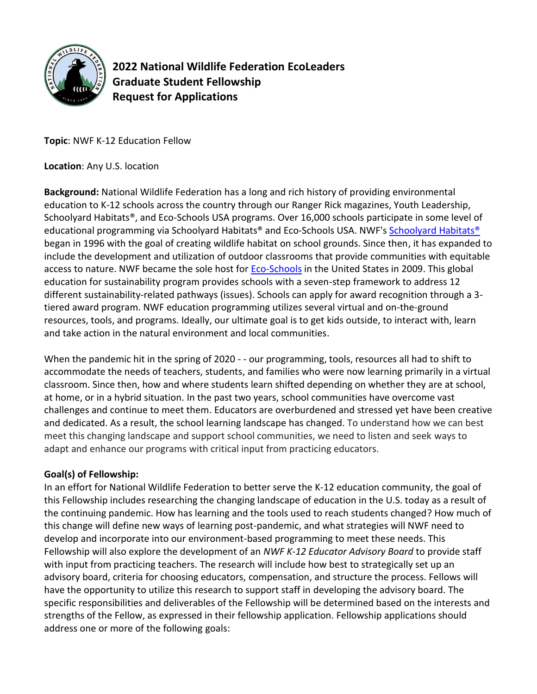

**2022 National Wildlife Federation EcoLeaders Graduate Student Fellowship Request for Applications**

**Topic**: NWF K-12 Education Fellow

**Location**: Any U.S. location

**Background:** National Wildlife Federation has a long and rich history of providing environmental education to K-12 schools across the country through our Ranger Rick magazines, Youth Leadership, Schoolyard Habitats®, and Eco-Schools USA programs. Over 16,000 schools participate in some level of educational programming via [Schoolyard Habitats®](https://www.nwf.org/Eco-Schools-USA/Pathways/Schoolyard-Habitats/schoolyard-habitat-planning-guide) and Eco-Schools USA. NWF's Schoolyard Habitats® began in 1996 with the goal of creating wildlife habitat on school grounds. Since then, it has expanded to include the development and utilization of outdoor classrooms that provide communities with equitable access to nature. NWF became the sole host for **Eco-Schools** in the United States in 2009. This global education for sustainability program provides schools with a seven-step framework to address 12 different sustainability-related pathways (issues). Schools can apply for award recognition through a 3 tiered award program. NWF education programming utilizes several virtual and on-the-ground resources, tools, and programs. Ideally, our ultimate goal is to get kids outside, to interact with, learn and take action in the natural environment and local communities.

When the pandemic hit in the spring of 2020 - - our programming, tools, resources all had to shift to accommodate the needs of teachers, students, and families who were now learning primarily in a virtual classroom. Since then, how and where students learn shifted depending on whether they are at school, at home, or in a hybrid situation. In the past two years, school communities have overcome vast challenges and continue to meet them. Educators are overburdened and stressed yet have been creative and dedicated. As a result, the school learning landscape has changed. To understand how we can best meet this changing landscape and support school communities, we need to listen and seek ways to adapt and enhance our programs with critical input from practicing educators.

### **Goal(s) of Fellowship:**

In an effort for National Wildlife Federation to better serve the K-12 education community, the goal of this Fellowship includes researching the changing landscape of education in the U.S. today as a result of the continuing pandemic. How has learning and the tools used to reach students changed? How much of this change will define new ways of learning post-pandemic, and what strategies will NWF need to develop and incorporate into our environment-based programming to meet these needs. This Fellowship will also explore the development of an *NWF K-12 Educator Advisory Board* to provide staff with input from practicing teachers. The research will include how best to strategically set up an advisory board, criteria for choosing educators, compensation, and structure the process. Fellows will have the opportunity to utilize this research to support staff in developing the advisory board. The specific responsibilities and deliverables of the Fellowship will be determined based on the interests and strengths of the Fellow, as expressed in their fellowship application. Fellowship applications should address one or more of the following goals: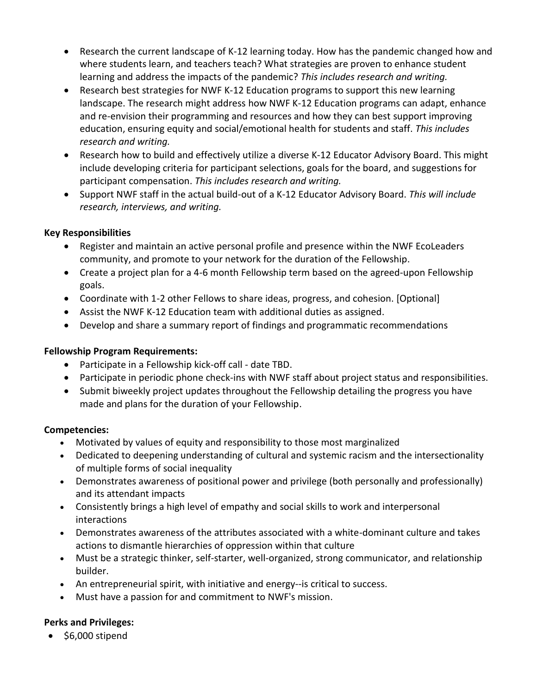- Research the current landscape of K-12 learning today. How has the pandemic changed how and where students learn, and teachers teach? What strategies are proven to enhance student learning and address the impacts of the pandemic? *This includes research and writing.*
- Research best strategies for NWF K-12 Education programs to support this new learning landscape. The research might address how NWF K-12 Education programs can adapt, enhance and re-envision their programming and resources and how they can best support improving education, ensuring equity and social/emotional health for students and staff. *This includes research and writing.*
- Research how to build and effectively utilize a diverse K-12 Educator Advisory Board. This might include developing criteria for participant selections, goals for the board, and suggestions for participant compensation. *This includes research and writing.*
- Support NWF staff in the actual build-out of a K-12 Educator Advisory Board. *This will include research, interviews, and writing.*

### **Key Responsibilities**

- Register and maintain an active personal profile and presence within the NWF EcoLeaders community, and promote to your network for the duration of the Fellowship.
- Create a project plan for a 4-6 month Fellowship term based on the agreed-upon Fellowship goals.
- Coordinate with 1-2 other Fellows to share ideas, progress, and cohesion. [Optional]
- Assist the NWF K-12 Education team with additional duties as assigned.
- Develop and share a summary report of findings and programmatic recommendations

# **Fellowship Program Requirements:**

- Participate in a Fellowship kick-off call date TBD.
- Participate in periodic phone check-ins with NWF staff about project status and responsibilities.
- Submit biweekly project updates throughout the Fellowship detailing the progress you have made and plans for the duration of your Fellowship.

# **Competencies:**

- Motivated by values of equity and responsibility to those most marginalized
- Dedicated to deepening understanding of cultural and systemic racism and the intersectionality of multiple forms of social inequality
- Demonstrates awareness of positional power and privilege (both personally and professionally) and its attendant impacts
- Consistently brings a high level of empathy and social skills to work and interpersonal interactions
- Demonstrates awareness of the attributes associated with a white-dominant culture and takes actions to dismantle hierarchies of oppression within that culture
- Must be a strategic thinker, self-starter, well-organized, strong communicator, and relationship builder.
- An entrepreneurial spirit, with initiative and energy--is critical to success.
- Must have a passion for and commitment to NWF's mission.

# **Perks and Privileges:**

• \$6,000 stipend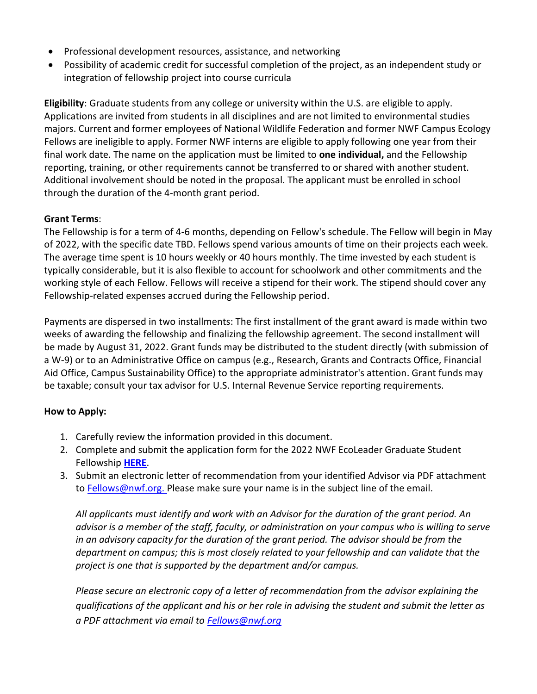- Professional development resources, assistance, and networking
- Possibility of academic credit for successful completion of the project, as an independent study or integration of fellowship project into course curricula

**Eligibility**: Graduate students from any college or university within the U.S. are eligible to apply. Applications are invited from students in all disciplines and are not limited to environmental studies majors. Current and former employees of National Wildlife Federation and former NWF Campus Ecology Fellows are ineligible to apply. Former NWF interns are eligible to apply following one year from their final work date. The name on the application must be limited to **one individual,** and the Fellowship reporting, training, or other requirements cannot be transferred to or shared with another student. Additional involvement should be noted in the proposal. The applicant must be enrolled in school through the duration of the 4-month grant period.

### **Grant Terms**:

The Fellowship is for a term of 4-6 months, depending on Fellow's schedule. The Fellow will begin in May of 2022, with the specific date TBD. Fellows spend various amounts of time on their projects each week. The average time spent is 10 hours weekly or 40 hours monthly. The time invested by each student is typically considerable, but it is also flexible to account for schoolwork and other commitments and the working style of each Fellow. Fellows will receive a stipend for their work. The stipend should cover any Fellowship-related expenses accrued during the Fellowship period.

Payments are dispersed in two installments: The first installment of the grant award is made within two weeks of awarding the fellowship and finalizing the fellowship agreement. The second installment will be made by August 31, 2022. Grant funds may be distributed to the student directly (with submission of a W-9) or to an Administrative Office on campus (e.g., Research, Grants and Contracts Office, Financial Aid Office, Campus Sustainability Office) to the appropriate administrator's attention. Grant funds may be taxable; consult your tax advisor for U.S. Internal Revenue Service reporting requirements.

# **How to Apply:**

- 1. Carefully review the information provided in this document.
- 2. Complete and submit the application form for the 2022 NWF EcoLeader Graduate Student Fellowship **[HERE](https://docs.google.com/forms/d/e/1FAIpQLSeEavnXNOe7uJQ36zszfOlj4n2VgMvj0Af8Nis_1toMsc5rWQ/viewform?usp=sf_link)**.
- 3. Submit an electronic letter of recommendation from your identified Advisor via PDF attachment to [Fellows@nwf.org.](mailto:Fellows@nwf.org) Please make sure your name is in the subject line of the email.

*All applicants must identify and work with an Advisor for the duration of the grant period. An advisor is a member of the staff, faculty, or administration on your campus who is willing to serve in an advisory capacity for the duration of the grant period. The advisor should be from the department on campus; this is most closely related to your fellowship and can validate that the project is one that is supported by the department and/or campus.* 

*Please secure an electronic copy of a letter of recommendation from the advisor explaining the qualifications of the applicant and his or her role in advising the student and submit the letter as a PDF attachment via email to [Fellows@nwf.org](mailto:Fellows@nwf.org)*